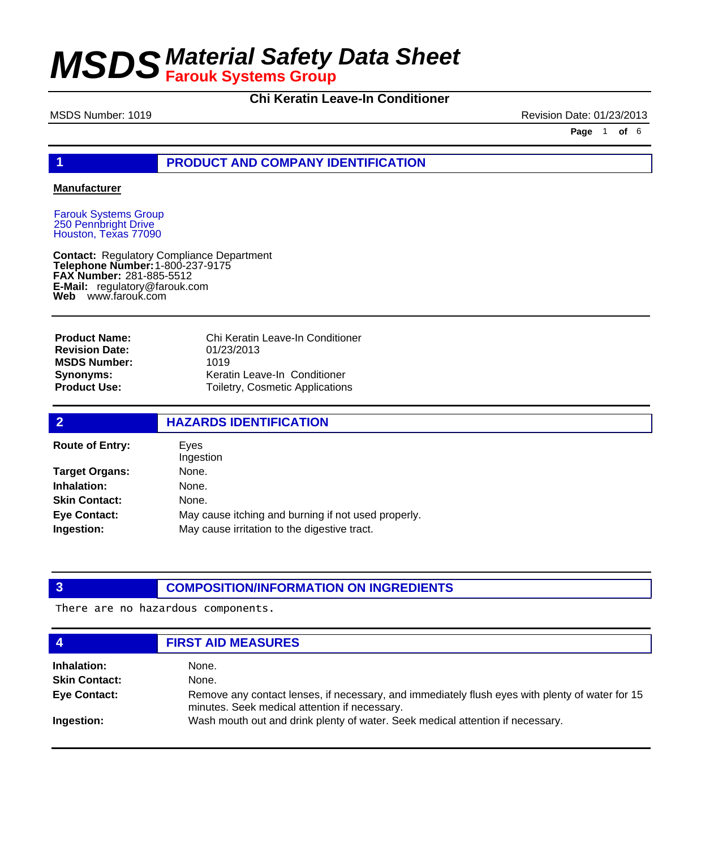### **Chi Keratin Leave-In Conditioner**

MSDS Number: 1019 **Revision Date: 01/23/2013** 

**Page** 1 **of** 6

#### **1 PRODUCT AND COMPANY IDENTIFICATION**

#### **Manufacturer**

Farouk Systems Group 250 Pennbright Drive Houston, Texas 77090

**Contact: Telephone Number: FAX Number:** 281-885-5512 **E-Mail:** regulatory@farouk.com **Web** www.farouk.com Regulatory Compliance Department 1-800-237-9175

**Product Name: Revision Date: MSDS Number: Synonyms: Product Use:**

Chi Keratin Leave-In Conditioner 01/23/2013 1019 Keratin Leave-In Conditioner Toiletry, Cosmetic Applications

| $\overline{2}$         | <b>HAZARDS IDENTIFICATION</b>                       |  |  |
|------------------------|-----------------------------------------------------|--|--|
| <b>Route of Entry:</b> | Eves<br>Ingestion                                   |  |  |
| <b>Target Organs:</b>  | None.                                               |  |  |
| Inhalation:            | None.                                               |  |  |
| <b>Skin Contact:</b>   | None.                                               |  |  |
| <b>Eye Contact:</b>    | May cause itching and burning if not used properly. |  |  |
| Ingestion:             | May cause irritation to the digestive tract.        |  |  |

#### **3 COMPOSITION/INFORMATION ON INGREDIENTS**

There are no hazardous components.

| 4                    | <b>FIRST AID MEASURES</b>                                                                                                                        |
|----------------------|--------------------------------------------------------------------------------------------------------------------------------------------------|
| Inhalation:          | None.                                                                                                                                            |
| <b>Skin Contact:</b> | None.                                                                                                                                            |
| <b>Eye Contact:</b>  | Remove any contact lenses, if necessary, and immediately flush eyes with plenty of water for 15<br>minutes. Seek medical attention if necessary. |
| Ingestion:           | Wash mouth out and drink plenty of water. Seek medical attention if necessary.                                                                   |
|                      |                                                                                                                                                  |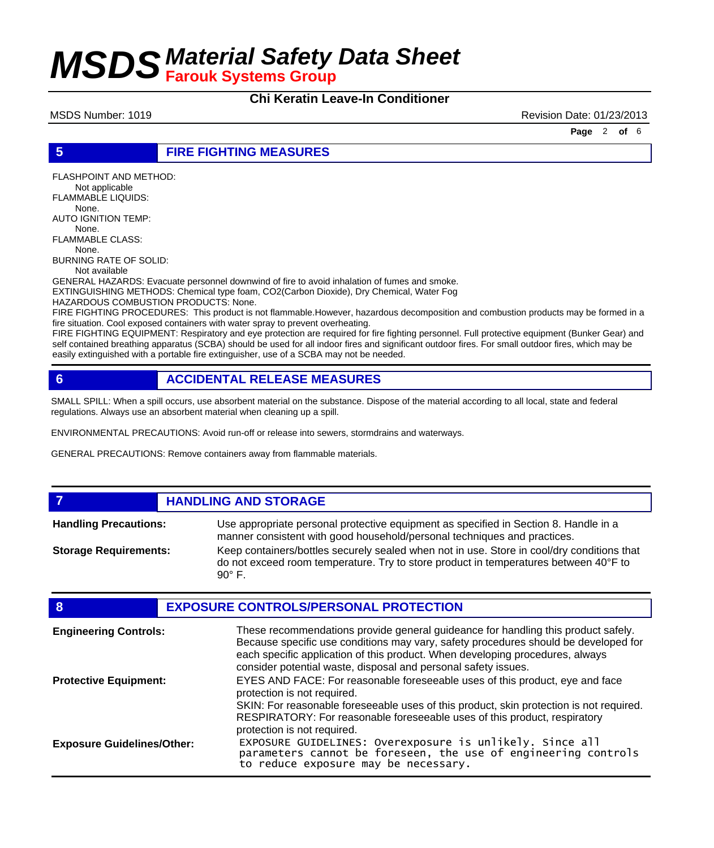#### **Chi Keratin Leave-In Conditioner**

MSDS Number: 1019 **Revision Date: 01/23/2013** 

**Page** 2 **of** 6

**5 FIRE FIGHTING MEASURES**

FLASHPOINT AND METHOD: Not applicable FLAMMABLE LIQUIDS: None. AUTO IGNITION TEMP: None. FLAMMABLE CLASS: None. BURNING RATE OF SOLID: Not available

GENERAL HAZARDS: Evacuate personnel downwind of fire to avoid inhalation of fumes and smoke. EXTINGUISHING METHODS: Chemical type foam, CO2(Carbon Dioxide), Dry Chemical, Water Fog

HAZARDOUS COMBUSTION PRODUCTS: None.

FIRE FIGHTING PROCEDURES: This product is not flammable.However, hazardous decomposition and combustion products may be formed in a fire situation. Cool exposed containers with water spray to prevent overheating.

FIRE FIGHTING EQUIPMENT: Respiratory and eye protection are required for fire fighting personnel. Full protective equipment (Bunker Gear) and self contained breathing apparatus (SCBA) should be used for all indoor fires and significant outdoor fires. For small outdoor fires, which may be easily extinguished with a portable fire extinguisher, use of a SCBA may not be needed.

#### **6 ACCIDENTAL RELEASE MEASURES**

SMALL SPILL: When a spill occurs, use absorbent material on the substance. Dispose of the material according to all local, state and federal regulations. Always use an absorbent material when cleaning up a spill.

ENVIRONMENTAL PRECAUTIONS: Avoid run-off or release into sewers, stormdrains and waterways.

GENERAL PRECAUTIONS: Remove containers away from flammable materials.

**7 HANDLING AND STORAGE**

Use appropriate personal protective equipment as specified in Section 8. Handle in a manner consistent with good household/personal techniques and practices. **Handling Precautions:** Keep containers/bottles securely sealed when not in use. Store in cool/dry conditions that do not exceed room temperature. Try to store product in temperatures between 40°F to 90° F. **Storage Requirements:**

| 8                                 | <b>EXPOSURE CONTROLS/PERSONAL PROTECTION</b>                                                                                                                                                                                                                                                                                |
|-----------------------------------|-----------------------------------------------------------------------------------------------------------------------------------------------------------------------------------------------------------------------------------------------------------------------------------------------------------------------------|
| <b>Engineering Controls:</b>      | These recommendations provide general guideance for handling this product safely.<br>Because specific use conditions may vary, safety procedures should be developed for<br>each specific application of this product. When developing procedures, always<br>consider potential waste, disposal and personal safety issues. |
| <b>Protective Equipment:</b>      | EYES AND FACE: For reasonable foreseeable uses of this product, eye and face<br>protection is not required.<br>SKIN: For reasonable foreseeable uses of this product, skin protection is not required.<br>RESPIRATORY: For reasonable foreseeable uses of this product, respiratory                                         |
| <b>Exposure Guidelines/Other:</b> | protection is not required.<br>EXPOSURE GUIDELINES: Overexposure is unlikely. Since all<br>parameters cannot be foreseen, the use of engineering controls<br>to reduce exposure may be necessary.                                                                                                                           |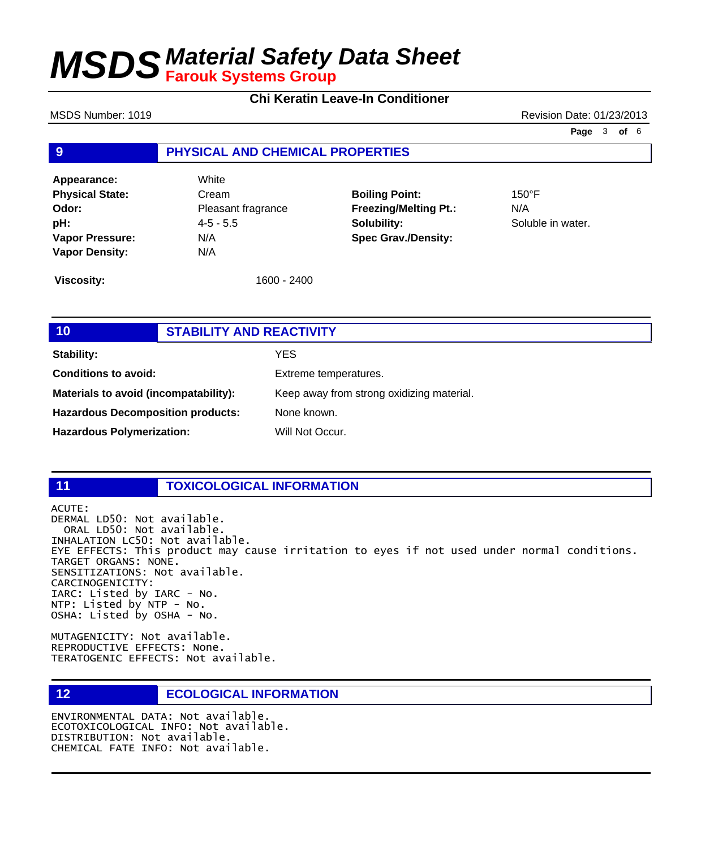#### **Chi Keratin Leave-In Conditioner**

MSDS Number: 1019 **Revision Date: 01/23/2013** 

**Page** 3 **of** 6

#### **9 PHYSICAL AND CHEMICAL PROPERTIES**

**Appearance:** White **Physical State:** Cream **Odor:** Pleasant fragrance **pH:** 4-5 - 5.5 **Vapor Pressure:** N/A **Vapor Density:** N/A

**Boiling Point:** 150°F **Freezing/Melting Pt.:** N/A **Solubility:** Soluble in water. **Spec Grav./Density:**

**Viscosity:** 1600 - 2400

| 10                                       | <b>STABILITY AND REACTIVITY</b> |                                           |
|------------------------------------------|---------------------------------|-------------------------------------------|
| Stability:                               |                                 | <b>YES</b>                                |
| <b>Conditions to avoid:</b>              |                                 | Extreme temperatures.                     |
| Materials to avoid (incompatability):    |                                 | Keep away from strong oxidizing material. |
| <b>Hazardous Decomposition products:</b> |                                 | None known.                               |
| <b>Hazardous Polymerization:</b>         |                                 | Will Not Occur.                           |

### **11 TOXICOLOGICAL INFORMATION**

ACUTE: DERMAL LD50: Not available. ORAL LD50: Not available. INHALATION LC50: Not available. EYE EFFECTS: This product may cause irritation to eyes if not used under normal conditions. TARGET ORGANS: NONE. SENSITIZATIONS: Not available. CARCINOGENICITY: IARC: Listed by IARC - No. NTP: Listed by NTP - No. OSHA: Listed by OSHA - No.

MUTAGENICITY: Not available. REPRODUCTIVE EFFECTS: None. TERATOGENIC EFFECTS: Not available.

**12 ECOLOGICAL INFORMATION** 

ENVIRONMENTAL DATA: Not available. ECOTOXICOLOGICAL INFO: Not available. DISTRIBUTION: Not available. CHEMICAL FATE INFO: Not available.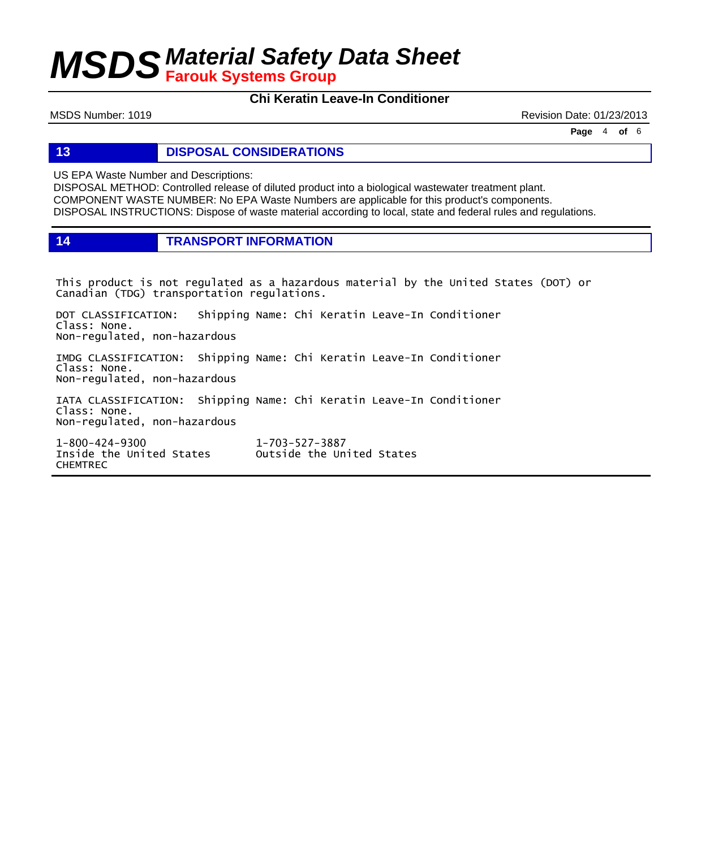### **Chi Keratin Leave-In Conditioner**

MSDS Number: 1019 **Revision Date: 01/23/2013** 

**Page** 4 **of** 6

**13 DISPOSAL CONSIDERATIONS**

US EPA Waste Number and Descriptions:

DISPOSAL METHOD: Controlled release of diluted product into a biological wastewater treatment plant. COMPONENT WASTE NUMBER: No EPA Waste Numbers are applicable for this product's components. DISPOSAL INSTRUCTIONS: Dispose of waste material according to local, state and federal rules and regulations.

**14 TRANSPORT INFORMATION**

This product is not regulated as a hazardous material by the United States (DOT) or Canadian (TDG) transportation regulations.

DOT CLASSIFICATION: Shipping Name: Chi Keratin Leave-In Conditioner Class: None. Non-regulated, non-hazardous

IMDG CLASSIFICATION: Shipping Name: Chi Keratin Leave-In Conditioner Class: None. Non-regulated, non-hazardous

IATA CLASSIFICATION: Shipping Name: Chi Keratin Leave-In Conditioner Class: None. Non-regulated, non-hazardous

1-800-424-9300 1-703-527-3887 CHEMTREC

Outside the United States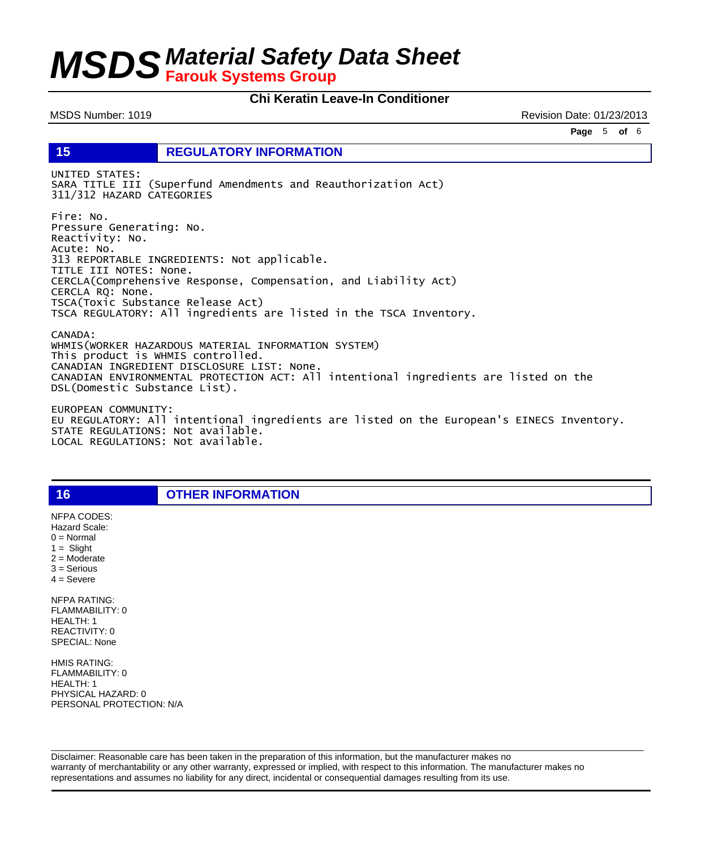#### **Chi Keratin Leave-In Conditioner**

MSDS Number: 1019 **Revision Date: 01/23/2013** 

**Page** 5 **of** 6

**15 REGULATORY INFORMATION**

UNITED STATES: SARA TITLE III (Superfund Amendments and Reauthorization Act) 311/312 HAZARD CATEGORIES

Fire: No. Pressure Generating: No. Reactivity: No. Acute: No. 313 REPORTABLE INGREDIENTS: Not applicable. TITLE III NOTES: None. CERCLA(Comprehensive Response, Compensation, and Liability Act) CERCLA RQ: None. TSCA(Toxic Substance Release Act) TSCA REGULATORY: All ingredients are listed in the TSCA Inventory.

CANADA: WHMIS(WORKER HAZARDOUS MATERIAL INFORMATION SYSTEM) This product is WHMIS controlled. CANADIAN INGREDIENT DISCLOSURE LIST: None. CANADIAN ENVIRONMENTAL PROTECTION ACT: All intentional ingredients are listed on the DSL(Domestic Substance List).

EUROPEAN COMMUNITY: EU REGULATORY: All intentional ingredients are listed on the European's EINECS Inventory. STATE REGULATIONS: Not available. LOCAL REGULATIONS: Not available.

**16 OTHER INFORMATION**

 $1 =$  Slight 2 = Moderate 3 = Serious  $4 =$  Severe NFPA RATING: FLAMMABILITY: 0 HEALTH: 1 REACTIVITY: 0 SPECIAL: None

NFPA CODES: Hazard Scale:  $0 =$  Normal

HMIS RATING: FLAMMABILITY: 0 HEALTH: 1 PHYSICAL HAZARD: 0 PERSONAL PROTECTION: N/A

Disclaimer: Reasonable care has been taken in the preparation of this information, but the manufacturer makes no warranty of merchantability or any other warranty, expressed or implied, with respect to this information. The manufacturer makes no representations and assumes no liability for any direct, incidental or consequential damages resulting from its use.

 $\Box$  . The contribution of the contribution of the contribution of the contribution of the contribution of the contribution of the contribution of the contribution of the contribution of the contribution of the contributi